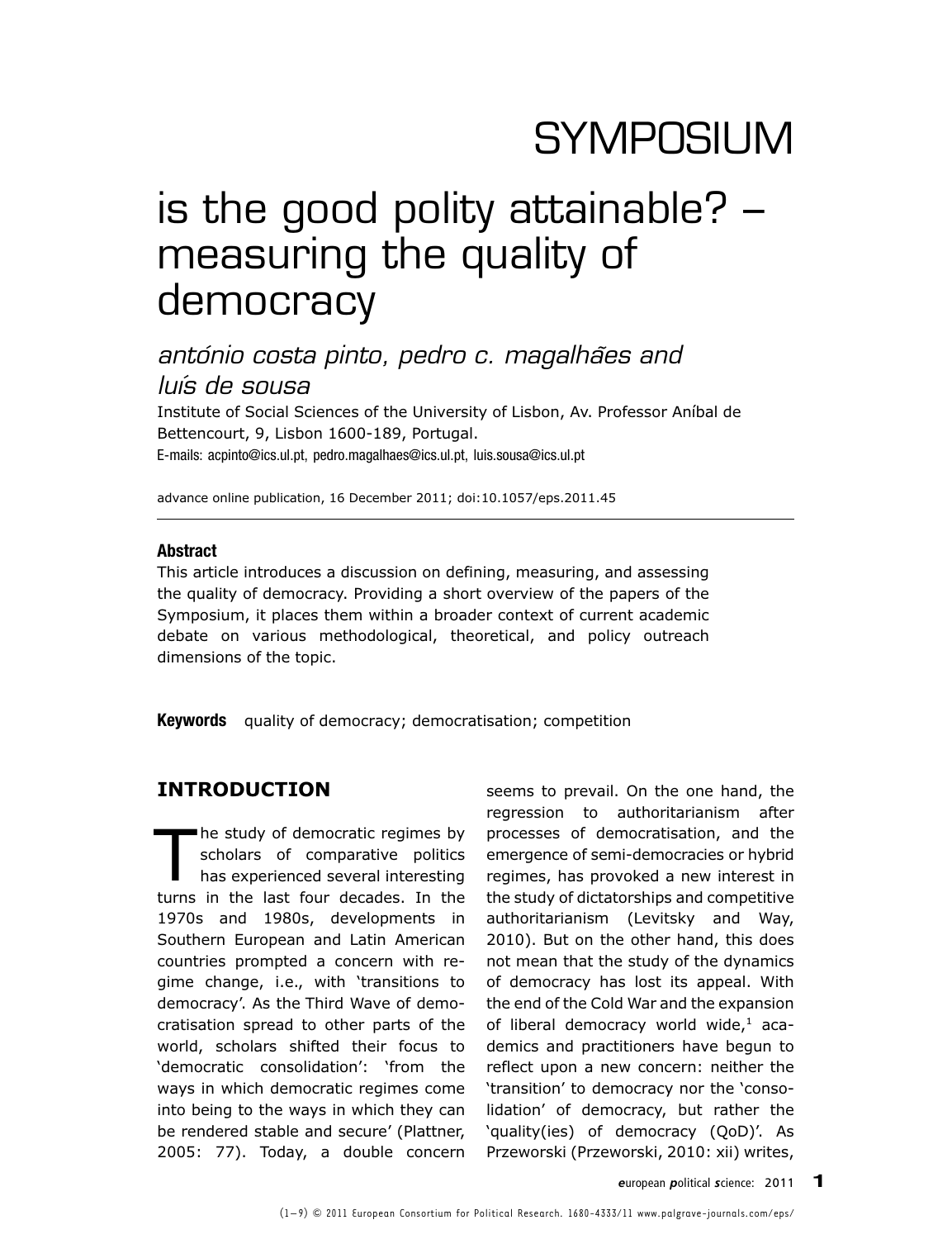# **SYMPOSIUM**

# is the good polity attainable? – measuring the quality of democracy

## antónio costa pinto, pedro c. magalhães and luı´s de sousa

Institute of Social Sciences of the University of Lisbon, Av. Professor Aníbal de Bettencourt, 9, Lisbon 1600-189, Portugal. E-mails: acpinto@ics.ul.pt, pedro.magalhaes@ics.ul.pt, luis.sousa@ics.ul.pt

advance online publication, 16 December 2011; doi:10.1057/eps.2011.45

#### **Abstract**

This article introduces a discussion on defining, measuring, and assessing the quality of democracy. Providing a short overview of the papers of the Symposium, it places them within a broader context of current academic debate on various methodological, theoretical, and policy outreach dimensions of the topic.

Keywords quality of democracy; democratisation; competition

### INTRODUCTION

The study of democratic regimes by scholars of comparative politics has experienced several interesting turns in the last four decades. In the 1970s and 1980s, developments in Southern European and Latin American countries prompted a concern with regime change, i.e., with 'transitions to democracy'. As the Third Wave of democratisation spread to other parts of the world, scholars shifted their focus to 'democratic consolidation': 'from the ways in which democratic regimes come into being to the ways in which they can be rendered stable and secure' (Plattner, 2005: 77). Today, a double concern

seems to prevail. On the one hand, the regression to authoritarianism after processes of democratisation, and the emergence of semi-democracies or hybrid regimes, has provoked a new interest in the study of dictatorships and competitive authoritarianism (Levitsky and Way, 2010). But on the other hand, this does not mean that the study of the dynamics of democracy has lost its appeal. With the end of the Cold War and the expansion of liberal democracy world wide, $<sup>1</sup>$  aca-</sup> demics and practitioners have begun to reflect upon a new concern: neither the 'transition' to democracy nor the 'consolidation' of democracy, but rather the 'quality(ies) of democracy (QoD)'. As Przeworski (Przeworski, 2010: xii) writes,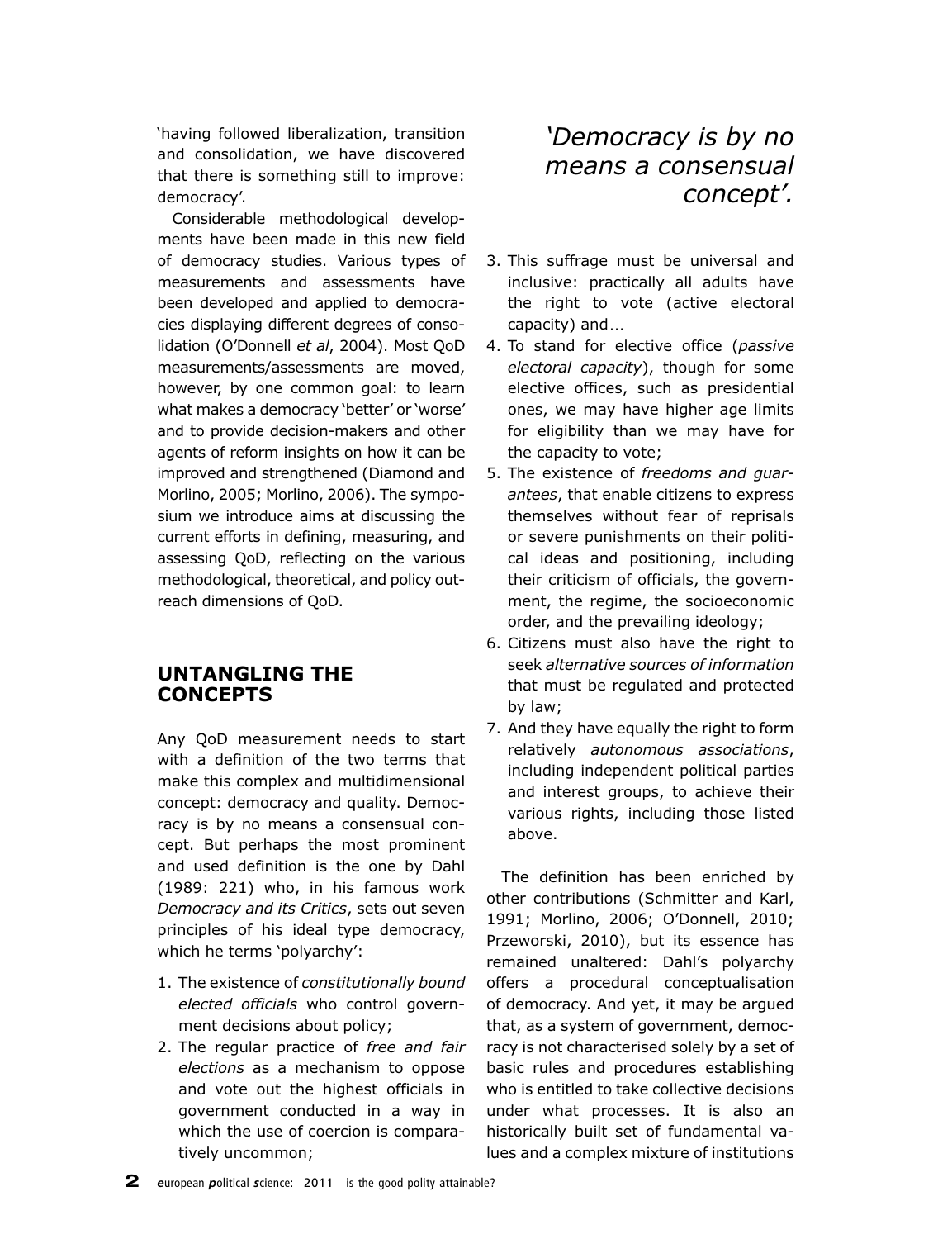'having followed liberalization, transition and consolidation, we have discovered that there is something still to improve: democracy'.

Considerable methodological developments have been made in this new field of democracy studies. Various types of measurements and assessments have been developed and applied to democracies displaying different degrees of consolidation (O'Donnell et al, 2004). Most QoD measurements/assessments are moved, however, by one common goal: to learn what makes a democracy 'better' or 'worse' and to provide decision-makers and other agents of reform insights on how it can be improved and strengthened (Diamond and Morlino, 2005; Morlino, 2006). The symposium we introduce aims at discussing the current efforts in defining, measuring, and assessing QoD, reflecting on the various methodological, theoretical, and policy outreach dimensions of QoD.

### UNTANGLING THE **CONCEPTS**

Any QoD measurement needs to start with a definition of the two terms that make this complex and multidimensional concept: democracy and quality. Democracy is by no means a consensual concept. But perhaps the most prominent and used definition is the one by Dahl (1989: 221) who, in his famous work Democracy and its Critics, sets out seven principles of his ideal type democracy, which he terms 'polyarchy':

- 1. The existence of constitutionally bound elected officials who control government decisions about policy;
- 2. The regular practice of free and fair elections as a mechanism to oppose and vote out the highest officials in government conducted in a way in which the use of coercion is comparatively uncommon;

# 'Democracy is by no means a consensual concept'.

- 3. This suffrage must be universal and inclusive: practically all adults have the right to vote (active electoral capacity) and $\dots$
- 4. To stand for elective office (passive electoral capacity), though for some elective offices, such as presidential ones, we may have higher age limits for eligibility than we may have for the capacity to vote;
- 5. The existence of freedoms and guarantees, that enable citizens to express themselves without fear of reprisals or severe punishments on their political ideas and positioning, including their criticism of officials, the government, the regime, the socioeconomic order, and the prevailing ideology;
- 6. Citizens must also have the right to seek alternative sources of information that must be regulated and protected by law;
- 7. And they have equally the right to form relatively autonomous associations, including independent political parties and interest groups, to achieve their various rights, including those listed above.

The definition has been enriched by other contributions (Schmitter and Karl, 1991; Morlino, 2006; O'Donnell, 2010; Przeworski, 2010), but its essence has remained unaltered: Dahl's polyarchy offers a procedural conceptualisation of democracy. And yet, it may be argued that, as a system of government, democracy is not characterised solely by a set of basic rules and procedures establishing who is entitled to take collective decisions under what processes. It is also an historically built set of fundamental values and a complex mixture of institutions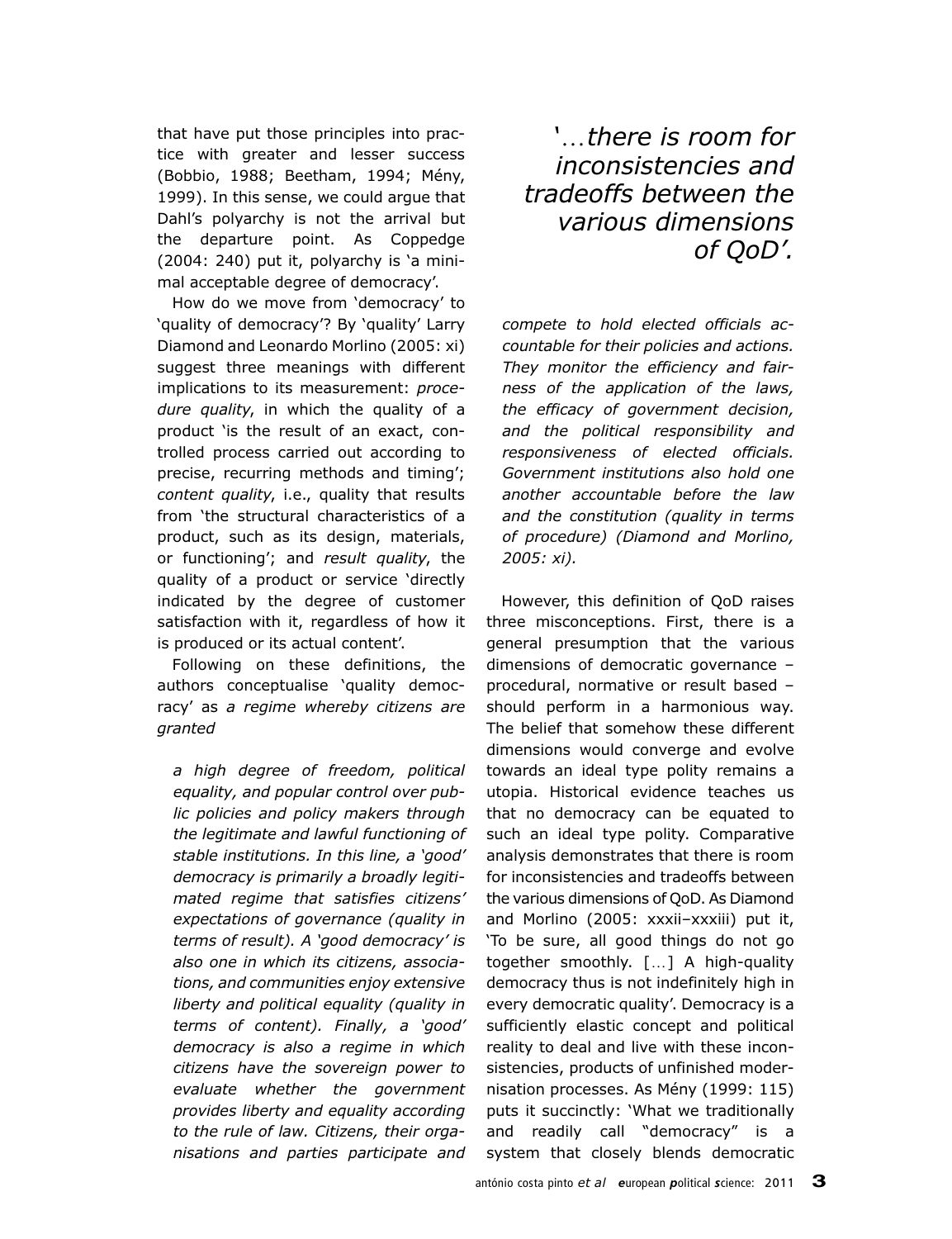that have put those principles into practice with greater and lesser success (Bobbio, 1988; Beetham, 1994; Mény, 1999). In this sense, we could argue that Dahl's polyarchy is not the arrival but the departure point. As Coppedge (2004: 240) put it, polyarchy is 'a minimal acceptable degree of democracy'.

How do we move from 'democracy' to 'quality of democracy'? By 'quality' Larry Diamond and Leonardo Morlino (2005: xi) suggest three meanings with different implications to its measurement: procedure quality, in which the quality of a product 'is the result of an exact, controlled process carried out according to precise, recurring methods and timing'; content quality, i.e., quality that results from 'the structural characteristics of a product, such as its design, materials, or functioning'; and result quality, the quality of a product or service 'directly indicated by the degree of customer satisfaction with it, regardless of how it is produced or its actual content'.

Following on these definitions, the authors conceptualise 'quality democracy' as a regime whereby citizens are granted

a high degree of freedom, political equality, and popular control over public policies and policy makers through the legitimate and lawful functioning of stable institutions. In this line, a 'good' democracy is primarily a broadly legitimated regime that satisfies citizens' expectations of governance (quality in terms of result). A 'good democracy' is also one in which its citizens, associations, and communities enjoy extensive liberty and political equality (quality in terms of content). Finally, a 'good' democracy is also a regime in which citizens have the sovereign power to evaluate whether the government provides liberty and equality according to the rule of law. Citizens, their organisations and parties participate and

 $'$ , there is room for inconsistencies and tradeoffs between the various dimensions of QoD'.

compete to hold elected officials accountable for their policies and actions. They monitor the efficiency and fairness of the application of the laws, the efficacy of government decision, and the political responsibility and responsiveness of elected officials. Government institutions also hold one another accountable before the law and the constitution (quality in terms of procedure) (Diamond and Morlino, 2005: xi).

However, this definition of QoD raises three misconceptions. First, there is a general presumption that the various dimensions of democratic governance – procedural, normative or result based – should perform in a harmonious way. The belief that somehow these different dimensions would converge and evolve towards an ideal type polity remains a utopia. Historical evidence teaches us that no democracy can be equated to such an ideal type polity. Comparative analysis demonstrates that there is room for inconsistencies and tradeoffs between the various dimensions of QoD. As Diamond and Morlino (2005: xxxii–xxxiii) put it, 'To be sure, all good things do not go together smoothly. [...] A high-quality democracy thus is not indefinitely high in every democratic quality'. Democracy is a sufficiently elastic concept and political reality to deal and live with these inconsistencies, products of unfinished modernisation processes. As Mény (1999: 115) puts it succinctly: 'What we traditionally and readily call "democracy" is a system that closely blends democratic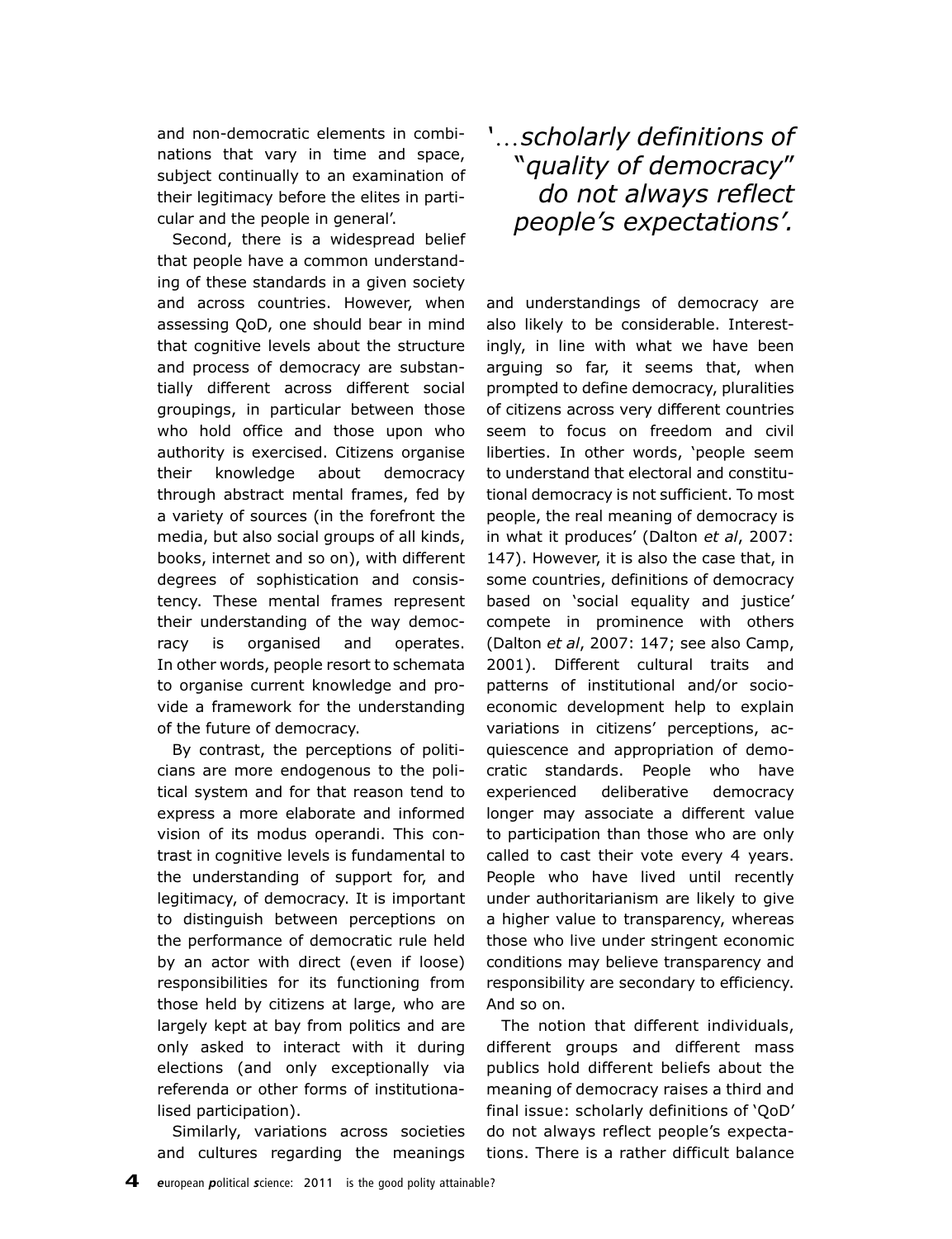and non-democratic elements in combinations that vary in time and space, subject continually to an examination of their legitimacy before the elites in particular and the people in general'.

Second, there is a widespread belief that people have a common understanding of these standards in a given society and across countries. However, when assessing QoD, one should bear in mind that cognitive levels about the structure and process of democracy are substantially different across different social groupings, in particular between those who hold office and those upon who authority is exercised. Citizens organise their knowledge about democracy through abstract mental frames, fed by a variety of sources (in the forefront the media, but also social groups of all kinds, books, internet and so on), with different degrees of sophistication and consistency. These mental frames represent their understanding of the way democracy is organised and operates. In other words, people resort to schemata to organise current knowledge and provide a framework for the understanding of the future of democracy.

By contrast, the perceptions of politicians are more endogenous to the political system and for that reason tend to express a more elaborate and informed vision of its modus operandi. This contrast in cognitive levels is fundamental to the understanding of support for, and legitimacy, of democracy. It is important to distinguish between perceptions on the performance of democratic rule held by an actor with direct (even if loose) responsibilities for its functioning from those held by citizens at large, who are largely kept at bay from politics and are only asked to interact with it during elections (and only exceptionally via referenda or other forms of institutionalised participation).

Similarly, variations across societies and cultures regarding the meanings

# '...scholarly definitions of "quality of democracy" do not always reflect people's expectations'.

and understandings of democracy are also likely to be considerable. Interestingly, in line with what we have been arguing so far, it seems that, when prompted to define democracy, pluralities of citizens across very different countries seem to focus on freedom and civil liberties. In other words, 'people seem to understand that electoral and constitutional democracy is not sufficient. To most people, the real meaning of democracy is in what it produces' (Dalton et al, 2007: 147). However, it is also the case that, in some countries, definitions of democracy based on 'social equality and justice' compete in prominence with others (Dalton et al, 2007: 147; see also Camp, 2001). Different cultural traits and patterns of institutional and/or socioeconomic development help to explain variations in citizens' perceptions, acquiescence and appropriation of democratic standards. People who have experienced deliberative democracy longer may associate a different value to participation than those who are only called to cast their vote every 4 years. People who have lived until recently under authoritarianism are likely to give a higher value to transparency, whereas those who live under stringent economic conditions may believe transparency and responsibility are secondary to efficiency. And so on.

The notion that different individuals, different groups and different mass publics hold different beliefs about the meaning of democracy raises a third and final issue: scholarly definitions of 'QoD' do not always reflect people's expectations. There is a rather difficult balance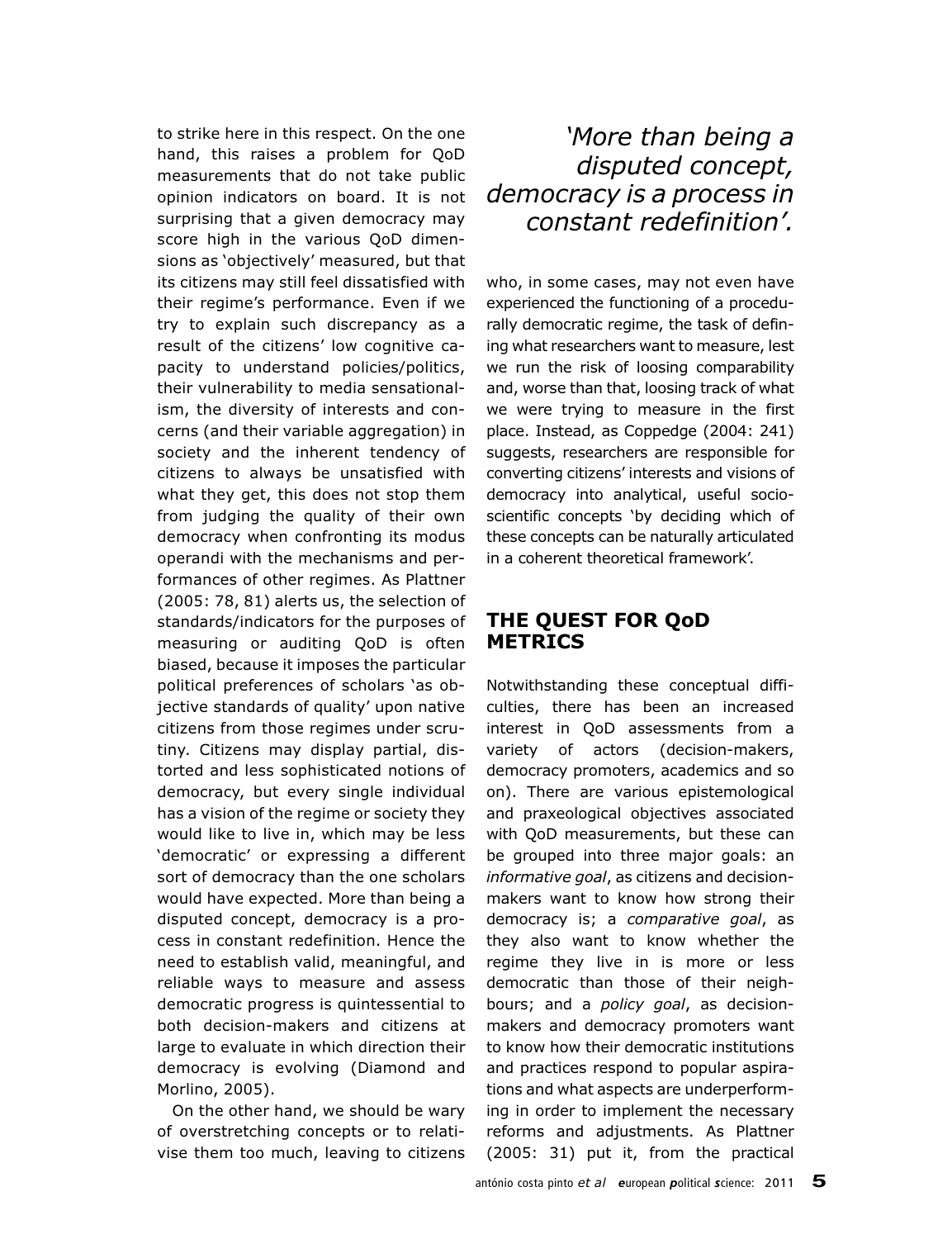to strike here in this respect. On the one hand, this raises a problem for QoD measurements that do not take public opinion indicators on board. It is not surprising that a given democracy may score high in the various QoD dimensions as 'objectively' measured, but that its citizens may still feel dissatisfied with their regime's performance. Even if we try to explain such discrepancy as a result of the citizens' low cognitive capacity to understand policies/politics, their vulnerability to media sensationalism, the diversity of interests and concerns (and their variable aggregation) in society and the inherent tendency of citizens to always be unsatisfied with what they get, this does not stop them from judging the quality of their own democracy when confronting its modus operandi with the mechanisms and performances of other regimes. As Plattner (2005: 78, 81) alerts us, the selection of standards/indicators for the purposes of measuring or auditing QoD is often biased, because it imposes the particular political preferences of scholars 'as objective standards of quality' upon native citizens from those regimes under scrutiny. Citizens may display partial, distorted and less sophisticated notions of democracy, but every single individual has a vision of the regime or society they would like to live in, which may be less 'democratic' or expressing a different sort of democracy than the one scholars would have expected. More than being a disputed concept, democracy is a process in constant redefinition. Hence the need to establish valid, meaningful, and reliable ways to measure and assess democratic progress is quintessential to both decision-makers and citizens at large to evaluate in which direction their democracy is evolving (Diamond and Morlino, 2005).

On the other hand, we should be wary of overstretching concepts or to relativise them too much, leaving to citizens

# 'More than being a disputed concept, democracy is a process in constant redefinition'.

who, in some cases, may not even have experienced the functioning of a procedurally democratic regime, the task of defining what researchers want to measure, lest we run the risk of loosing comparability and, worse than that, loosing track of what we were trying to measure in the first place. Instead, as Coppedge (2004: 241) suggests, researchers are responsible for converting citizens' interests and visions of democracy into analytical, useful socioscientific concepts 'by deciding which of these concepts can be naturally articulated in a coherent theoretical framework'.

### THE QUEST FOR QoD METRICS

Notwithstanding these conceptual difficulties, there has been an increased interest in QoD assessments from a variety of actors (decision-makers, democracy promoters, academics and so on). There are various epistemological and praxeological objectives associated with QoD measurements, but these can be grouped into three major goals: an informative goal, as citizens and decisionmakers want to know how strong their democracy is; a comparative goal, as they also want to know whether the regime they live in is more or less democratic than those of their neighbours; and a *policy goal*, as decisionmakers and democracy promoters want to know how their democratic institutions and practices respond to popular aspirations and what aspects are underperforming in order to implement the necessary reforms and adjustments. As Plattner (2005: 31) put it, from the practical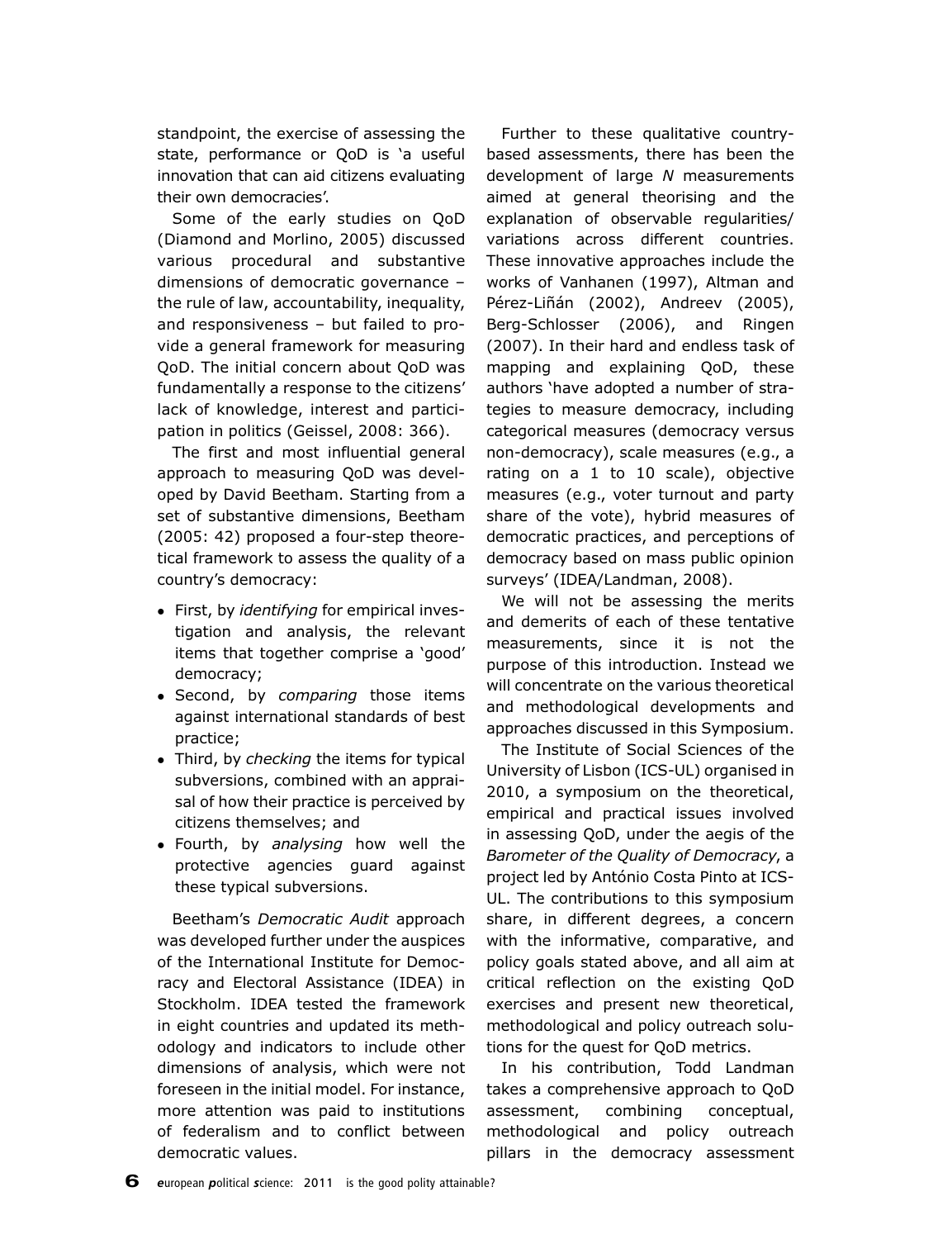standpoint, the exercise of assessing the state, performance or QoD is 'a useful innovation that can aid citizens evaluating their own democracies'.

Some of the early studies on QoD (Diamond and Morlino, 2005) discussed various procedural and substantive dimensions of democratic governance – the rule of law, accountability, inequality, and responsiveness – but failed to provide a general framework for measuring QoD. The initial concern about QoD was fundamentally a response to the citizens' lack of knowledge, interest and participation in politics (Geissel, 2008: 366).

The first and most influential general approach to measuring QoD was developed by David Beetham. Starting from a set of substantive dimensions, Beetham (2005: 42) proposed a four-step theoretical framework to assess the quality of a country's democracy:

- . First, by *identifying* for empirical investigation and analysis, the relevant items that together comprise a 'good' democracy;
- Second, by comparing those items against international standards of best practice;
- . Third, by checking the items for typical subversions, combined with an appraisal of how their practice is perceived by citizens themselves; and
- . Fourth, by analysing how well the protective agencies guard against these typical subversions.

Beetham's Democratic Audit approach was developed further under the auspices of the International Institute for Democracy and Electoral Assistance (IDEA) in Stockholm. IDEA tested the framework in eight countries and updated its methodology and indicators to include other dimensions of analysis, which were not foreseen in the initial model. For instance, more attention was paid to institutions of federalism and to conflict between democratic values.

Further to these qualitative countrybased assessments, there has been the development of large N measurements aimed at general theorising and the explanation of observable regularities/ variations across different countries. These innovative approaches include the works of Vanhanen (1997), Altman and Pérez-Liñán (2002), Andreev (2005), Berg-Schlosser (2006), and Ringen (2007). In their hard and endless task of mapping and explaining QoD, these authors 'have adopted a number of strategies to measure democracy, including categorical measures (democracy versus non-democracy), scale measures (e.g., a rating on a 1 to 10 scale), objective measures (e.g., voter turnout and party share of the vote), hybrid measures of democratic practices, and perceptions of democracy based on mass public opinion surveys' (IDEA/Landman, 2008).

We will not be assessing the merits and demerits of each of these tentative measurements, since it is not the purpose of this introduction. Instead we will concentrate on the various theoretical and methodological developments and approaches discussed in this Symposium.

The Institute of Social Sciences of the University of Lisbon (ICS-UL) organised in 2010, a symposium on the theoretical, empirical and practical issues involved in assessing QoD, under the aegis of the Barometer of the Quality of Democracy, a project led by António Costa Pinto at ICS-UL. The contributions to this symposium share, in different degrees, a concern with the informative, comparative, and policy goals stated above, and all aim at critical reflection on the existing QoD exercises and present new theoretical, methodological and policy outreach solutions for the quest for QoD metrics.

In his contribution, Todd Landman takes a comprehensive approach to QoD assessment, combining conceptual, methodological and policy outreach pillars in the democracy assessment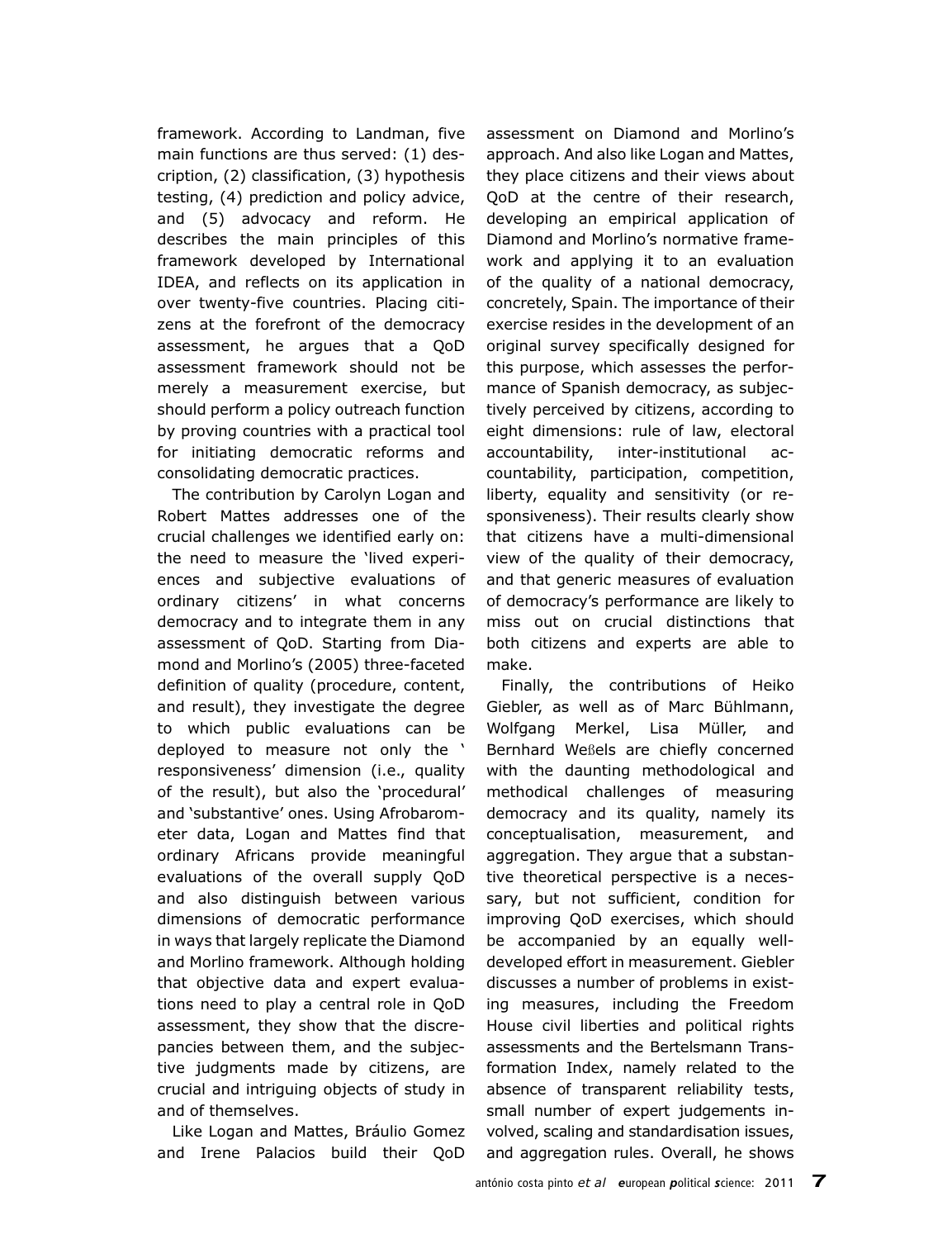framework. According to Landman, five main functions are thus served: (1) description, (2) classification, (3) hypothesis testing, (4) prediction and policy advice, and (5) advocacy and reform. He describes the main principles of this framework developed by International IDEA, and reflects on its application in over twenty-five countries. Placing citizens at the forefront of the democracy assessment, he argues that a QoD assessment framework should not be merely a measurement exercise, but should perform a policy outreach function by proving countries with a practical tool for initiating democratic reforms and consolidating democratic practices.

The contribution by Carolyn Logan and Robert Mattes addresses one of the crucial challenges we identified early on: the need to measure the 'lived experiences and subjective evaluations of ordinary citizens' in what concerns democracy and to integrate them in any assessment of QoD. Starting from Diamond and Morlino's (2005) three-faceted definition of quality (procedure, content, and result), they investigate the degree to which public evaluations can be deployed to measure not only the ' responsiveness' dimension (i.e., quality of the result), but also the 'procedural' and 'substantive' ones. Using Afrobarometer data, Logan and Mattes find that ordinary Africans provide meaningful evaluations of the overall supply QoD and also distinguish between various dimensions of democratic performance in ways that largely replicate the Diamond and Morlino framework. Although holding that objective data and expert evaluations need to play a central role in QoD assessment, they show that the discrepancies between them, and the subjective judgments made by citizens, are crucial and intriguing objects of study in and of themselves.

Like Logan and Mattes, Bráulio Gomez and Irene Palacios build their QoD assessment on Diamond and Morlino's approach. And also like Logan and Mattes, they place citizens and their views about QoD at the centre of their research, developing an empirical application of Diamond and Morlino's normative framework and applying it to an evaluation of the quality of a national democracy, concretely, Spain. The importance of their exercise resides in the development of an original survey specifically designed for this purpose, which assesses the performance of Spanish democracy, as subjectively perceived by citizens, according to eight dimensions: rule of law, electoral accountability, inter-institutional accountability, participation, competition, liberty, equality and sensitivity (or responsiveness). Their results clearly show that citizens have a multi-dimensional view of the quality of their democracy, and that generic measures of evaluation of democracy's performance are likely to miss out on crucial distinctions that both citizens and experts are able to make.

Finally, the contributions of Heiko Giebler, as well as of Marc Bühlmann, Wolfgang Merkel, Lisa Müller, and Bernhard Weßels are chiefly concerned with the daunting methodological and methodical challenges of measuring democracy and its quality, namely its conceptualisation, measurement, and aggregation. They argue that a substantive theoretical perspective is a necessary, but not sufficient, condition for improving QoD exercises, which should be accompanied by an equally welldeveloped effort in measurement. Giebler discusses a number of problems in existing measures, including the Freedom House civil liberties and political rights assessments and the Bertelsmann Transformation Index, namely related to the absence of transparent reliability tests, small number of expert judgements involved, scaling and standardisation issues, and aggregation rules. Overall, he shows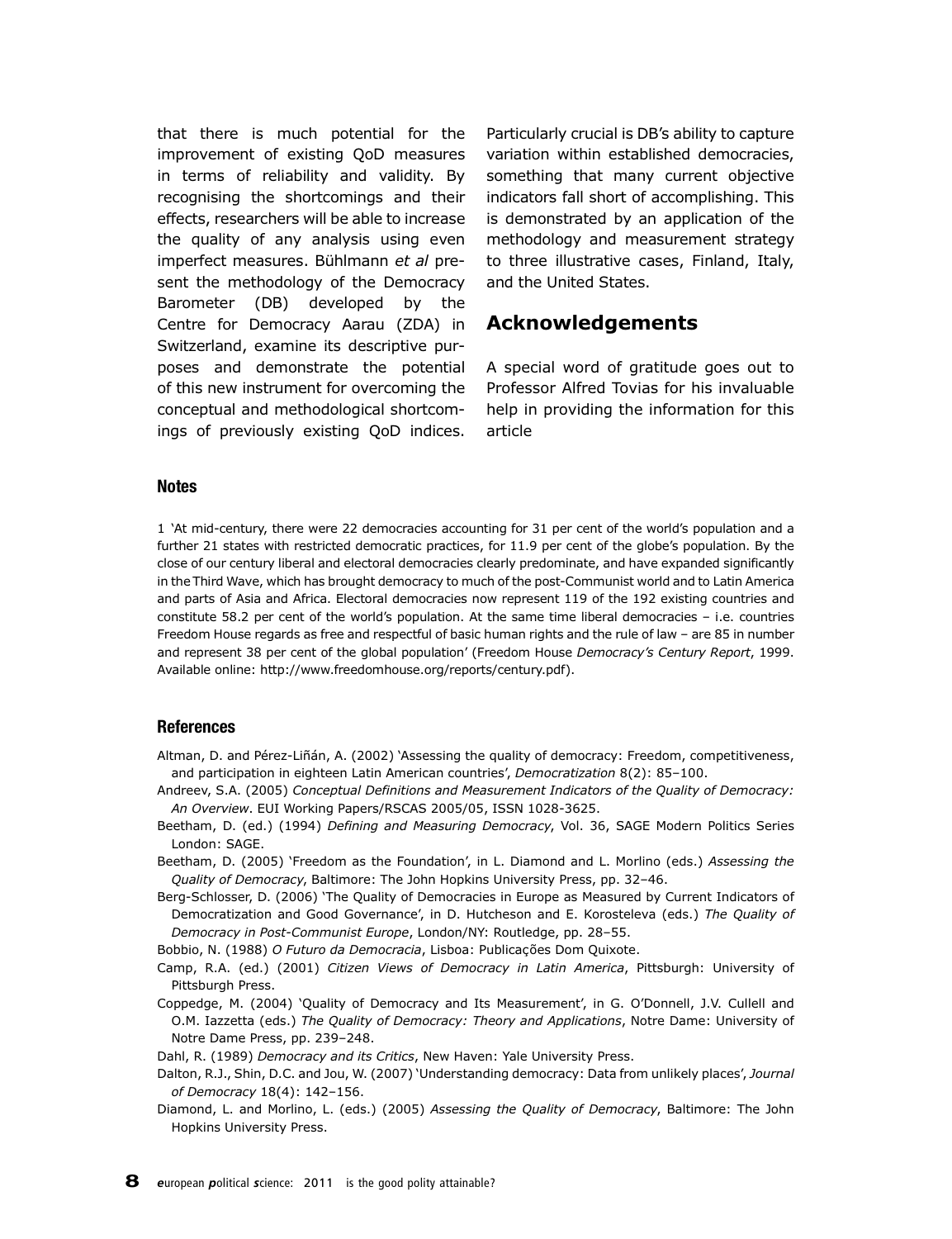that there is much potential for the improvement of existing QoD measures in terms of reliability and validity. By recognising the shortcomings and their effects, researchers will be able to increase the quality of any analysis using even imperfect measures. Bühlmann et al present the methodology of the Democracy Barometer (DB) developed by the Centre for Democracy Aarau (ZDA) in Switzerland, examine its descriptive purposes and demonstrate the potential of this new instrument for overcoming the conceptual and methodological shortcomings of previously existing QoD indices.

Particularly crucial is DB's ability to capture variation within established democracies, something that many current objective indicators fall short of accomplishing. This is demonstrated by an application of the methodology and measurement strategy to three illustrative cases, Finland, Italy, and the United States.

### Acknowledgements

A special word of gratitude goes out to Professor Alfred Tovias for his invaluable help in providing the information for this article

#### **Notes**

1 'At mid-century, there were 22 democracies accounting for 31 per cent of the world's population and a further 21 states with restricted democratic practices, for 11.9 per cent of the globe's population. By the close of our century liberal and electoral democracies clearly predominate, and have expanded significantly in the Third Wave, which has brought democracy to much of the post-Communist world and to Latin America and parts of Asia and Africa. Electoral democracies now represent 119 of the 192 existing countries and constitute 58.2 per cent of the world's population. At the same time liberal democracies – i.e. countries Freedom House regards as free and respectful of basic human rights and the rule of law – are 85 in number and represent 38 per cent of the global population' (Freedom House Democracy's Century Report, 1999. Available online: http://www.freedomhouse.org/reports/century.pdf).

#### References

- Altman, D. and Pérez-Liñán, A. (2002) 'Assessing the quality of democracy: Freedom, competitiveness, and participation in eighteen Latin American countries', Democratization 8(2): 85–100.
- Andreev, S.A. (2005) Conceptual Definitions and Measurement Indicators of the Quality of Democracy: An Overview. EUI Working Papers/RSCAS 2005/05, ISSN 1028-3625.
- Beetham, D. (ed.) (1994) Defining and Measuring Democracy, Vol. 36, SAGE Modern Politics Series London: SAGE.
- Beetham, D. (2005) 'Freedom as the Foundation', in L. Diamond and L. Morlino (eds.) Assessing the Quality of Democracy, Baltimore: The John Hopkins University Press, pp. 32–46.
- Berg-Schlosser, D. (2006) 'The Quality of Democracies in Europe as Measured by Current Indicators of Democratization and Good Governance', in D. Hutcheson and E. Korosteleva (eds.) The Quality of Democracy in Post-Communist Europe, London/NY: Routledge, pp. 28–55.

Bobbio, N. (1988) O Futuro da Democracia, Lisboa: Publicações Dom Quixote.

- Camp, R.A. (ed.) (2001) Citizen Views of Democracy in Latin America, Pittsburgh: University of Pittsburgh Press.
- Coppedge, M. (2004) 'Quality of Democracy and Its Measurement', in G. O'Donnell, J.V. Cullell and O.M. Iazzetta (eds.) The Quality of Democracy: Theory and Applications, Notre Dame: University of Notre Dame Press, pp. 239–248.

Dahl, R. (1989) Democracy and its Critics, New Haven: Yale University Press.

- Dalton, R.J., Shin, D.C. and Jou, W. (2007) 'Understanding democracy: Data from unlikely places', Journal of Democracy 18(4): 142–156.
- Diamond, L. and Morlino, L. (eds.) (2005) Assessing the Quality of Democracy, Baltimore: The John Hopkins University Press.